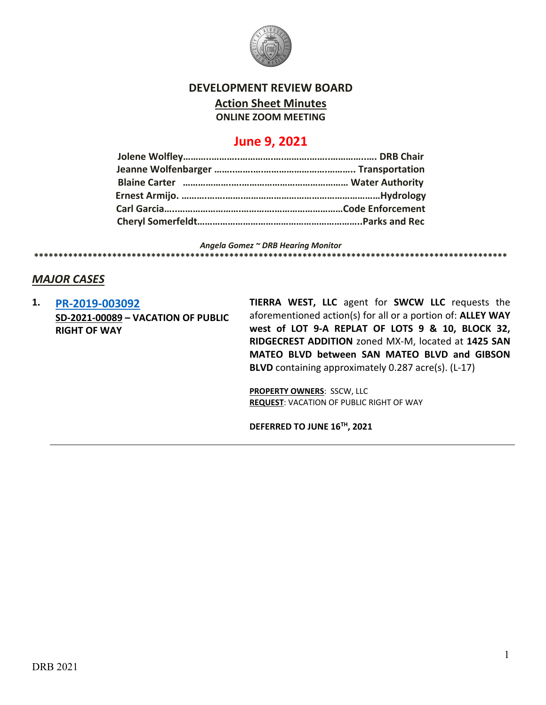

### **DEVELOPMENT REVIEW BOARD**

**Action Sheet Minutes**

**ONLINE ZOOM MEETING**

# **June 9, 2021**

*Angela Gomez ~ DRB Hearing Monitor* **\*\*\*\*\*\*\*\*\*\*\*\*\*\*\*\*\*\*\*\*\*\*\*\*\*\*\*\*\*\*\*\*\*\*\*\*\*\*\*\*\*\*\*\*\*\*\*\*\*\*\*\*\*\*\*\*\*\*\*\*\*\*\*\*\*\*\*\*\*\*\*\*\*\*\*\*\*\*\*\*\*\*\*\*\*\*\*\*\*\*\*\*\*\*\*\*\***

### *MAJOR CASES*

**1. [PR-2019-003092](http://data.cabq.gov/government/planning/DRB/PR-2019-003092/DRB%20Submittals/PR-2019-003092_June_9_2021/Application/2019040%2005-04-21%20Suds%20Car%20Wash%20Vacation%20Submittal.pdf) SD-2021-00089 – VACATION OF PUBLIC RIGHT OF WAY**

**TIERRA WEST, LLC** agent for **SWCW LLC** requests the aforementioned action(s) for all or a portion of: **ALLEY WAY west of LOT 9-A REPLAT OF LOTS 9 & 10, BLOCK 32, RIDGECREST ADDITION** zoned MX-M, located at **1425 SAN MATEO BLVD between SAN MATEO BLVD and GIBSON BLVD** containing approximately 0.287 acre(s). (L-17)

**PROPERTY OWNERS**: SSCW, LLC **REQUEST**: VACATION OF PUBLIC RIGHT OF WAY

**DEFERRED TO JUNE 16TH, 2021**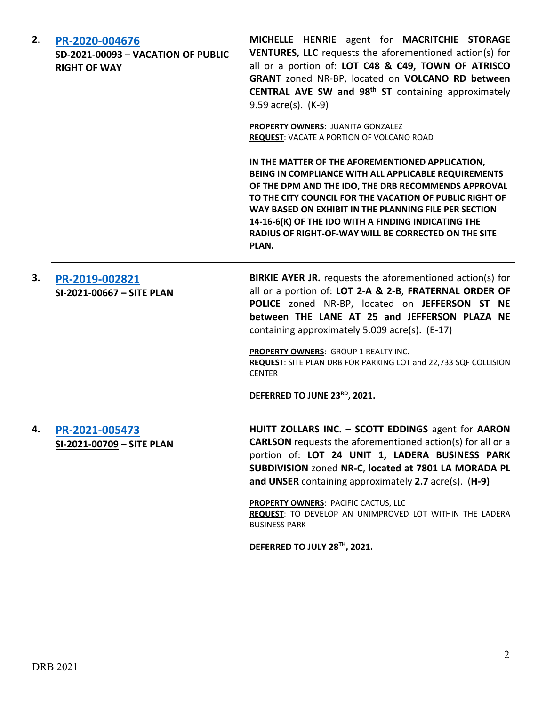| 2. | PR-2020-004676<br>SD-2021-00093 - VACATION OF PUBLIC<br><b>RIGHT OF WAY</b> | MICHELLE HENRIE agent for MACRITCHIE STORAGE<br><b>VENTURES, LLC</b> requests the aforementioned action(s) for<br>all or a portion of: LOT C48 & C49, TOWN OF ATRISCO<br>GRANT zoned NR-BP, located on VOLCANO RD between<br>CENTRAL AVE SW and 98 <sup>th</sup> ST containing approximately<br>9.59 acre(s). (K-9)                                                                                                                         |
|----|-----------------------------------------------------------------------------|---------------------------------------------------------------------------------------------------------------------------------------------------------------------------------------------------------------------------------------------------------------------------------------------------------------------------------------------------------------------------------------------------------------------------------------------|
|    |                                                                             | <b>PROPERTY OWNERS: JUANITA GONZALEZ</b><br><b>REQUEST: VACATE A PORTION OF VOLCANO ROAD</b>                                                                                                                                                                                                                                                                                                                                                |
|    |                                                                             | IN THE MATTER OF THE AFOREMENTIONED APPLICATION,<br>BEING IN COMPLIANCE WITH ALL APPLICABLE REQUIREMENTS<br>OF THE DPM AND THE IDO, THE DRB RECOMMENDS APPROVAL<br>TO THE CITY COUNCIL FOR THE VACATION OF PUBLIC RIGHT OF<br>WAY BASED ON EXHIBIT IN THE PLANNING FILE PER SECTION<br>14-16-6(K) OF THE IDO WITH A FINDING INDICATING THE<br>RADIUS OF RIGHT-OF-WAY WILL BE CORRECTED ON THE SITE<br>PLAN.                                 |
| 3. | PR-2019-002821<br>SI-2021-00667 - SITE PLAN                                 | <b>BIRKIE AYER JR.</b> requests the aforementioned action(s) for<br>all or a portion of: LOT 2-A & 2-B, FRATERNAL ORDER OF<br>POLICE zoned NR-BP, located on JEFFERSON ST NE<br>between THE LANE AT 25 and JEFFERSON PLAZA NE<br>containing approximately 5.009 acre(s). (E-17)<br>PROPERTY OWNERS: GROUP 1 REALTY INC.<br>REQUEST: SITE PLAN DRB FOR PARKING LOT and 22,733 SQF COLLISION<br><b>CENTER</b><br>DEFERRED TO JUNE 23RD, 2021. |
|    |                                                                             |                                                                                                                                                                                                                                                                                                                                                                                                                                             |
|    | PR-2021-005473<br>SI-2021-00709 - SITE PLAN                                 | HUITT ZOLLARS INC. - SCOTT EDDINGS agent for AARON<br><b>CARLSON</b> requests the aforementioned action(s) for all or a<br>portion of: LOT 24 UNIT 1, LADERA BUSINESS PARK<br>SUBDIVISION zoned NR-C, located at 7801 LA MORADA PL<br>and UNSER containing approximately 2.7 acre(s). (H-9)<br>PROPERTY OWNERS: PACIFIC CACTUS, LLC                                                                                                         |
|    |                                                                             | REQUEST: TO DEVELOP AN UNIMPROVED LOT WITHIN THE LADERA<br><b>BUSINESS PARK</b>                                                                                                                                                                                                                                                                                                                                                             |
|    |                                                                             | DEFERRED TO JULY 28TH, 2021.                                                                                                                                                                                                                                                                                                                                                                                                                |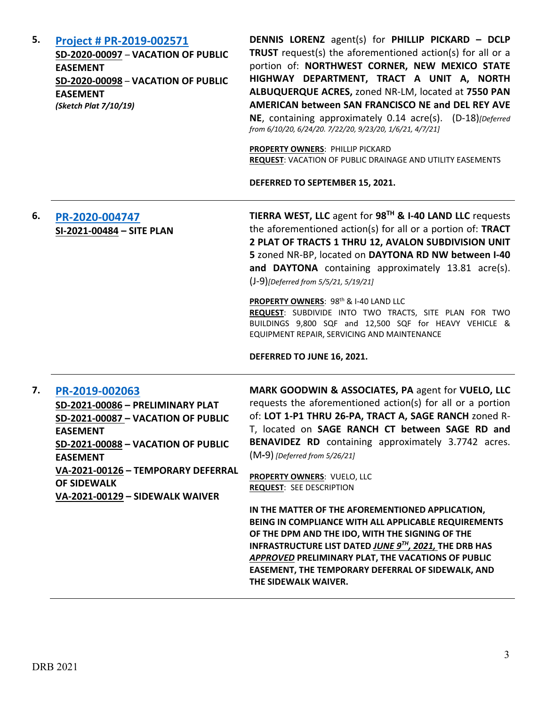**5. [Project # PR-2019-002571](http://data.cabq.gov/government/planning/DRB/PR-2019-002571/DRB%20Submittals/) SD-2020-00097** – **VACATION OF PUBLIC EASEMENT SD-2020-00098** – **VACATION OF PUBLIC EASEMENT** *(Sketch Plat 7/10/19)*

**DENNIS LORENZ** agent(s) for **PHILLIP PICKARD – DCLP TRUST** request(s) the aforementioned action(s) for all or a portion of: **NORTHWEST CORNER, NEW MEXICO STATE HIGHWAY DEPARTMENT, TRACT A UNIT A, NORTH ALBUQUERQUE ACRES,** zoned NR-LM, located at **7550 PAN AMERICAN between SAN FRANCISCO NE and DEL REY AVE NE**, containing approximately 0.14 acre(s). (D-18)*[Deferred from 6/10/20, 6/24/20. 7/22/20, 9/23/20, 1/6/21, 4/7/21]*

**PROPERTY OWNERS**: PHILLIP PICKARD **REQUEST**: VACATION OF PUBLIC DRAINAGE AND UTILITY EASEMENTS

**DEFERRED TO SEPTEMBER 15, 2021.**

**6. [PR-2020-004747](http://data.cabq.gov/government/planning/DRB/PR-2020-004747/DRB%20Submittals/PR-2020-004747_May_19_2021_Supp/Application/) SI-2021-00484 – SITE PLAN TIERRA WEST, LLC** agent for **98TH & I-40 LAND LLC** requests the aforementioned action(s) for all or a portion of: **TRACT 2 PLAT OF TRACTS 1 THRU 12, AVALON SUBDIVISION UNIT 5** zoned NR-BP, located on **DAYTONA RD NW between I-40 and DAYTONA** containing approximately 13.81 acre(s). (J-9)*[Deferred from 5/5/21, 5/19/21]*

> PROPERTY OWNERS: 98<sup>th</sup> & I-40 LAND LLC **REQUEST**: SUBDIVIDE INTO TWO TRACTS, SITE PLAN FOR TWO BUILDINGS 9,800 SQF and 12,500 SQF for HEAVY VEHICLE & EQUIPMENT REPAIR, SERVICING AND MAINTENANCE

**DEFERRED TO JUNE 16, 2021.**

#### **7. [PR-2019-002063](http://data.cabq.gov/government/planning/DRB/PR-2019-002063/DRB%20Submittals/)**

**SD-2021-00086 – PRELIMINARY PLAT SD-2021-00087 – VACATION OF PUBLIC EASEMENT SD-2021-00088 – VACATION OF PUBLIC EASEMENT VA-2021-00126 – TEMPORARY DEFERRAL OF SIDEWALK VA-2021-00129 – SIDEWALK WAIVER**

**MARK GOODWIN & ASSOCIATES, PA** agent for **VUELO, LLC** requests the aforementioned action(s) for all or a portion of: **LOT 1-P1 THRU 26-PA, TRACT A, SAGE RANCH** zoned R-T, located on **SAGE RANCH CT between SAGE RD and BENAVIDEZ RD** containing approximately 3.7742 acres. (M**-**9) *[Deferred from 5/26/21]*

**PROPERTY OWNERS**: VUELO, LLC **REQUEST**: SEE DESCRIPTION

**IN THE MATTER OF THE AFOREMENTIONED APPLICATION, BEING IN COMPLIANCE WITH ALL APPLICABLE REQUIREMENTS OF THE DPM AND THE IDO, WITH THE SIGNING OF THE INFRASTRUCTURE LIST DATED** *JUNE 9TH, 2021,* **THE DRB HAS**  *APPROVED* **PRELIMINARY PLAT, THE VACATIONS OF PUBLIC EASEMENT, THE TEMPORARY DEFERRAL OF SIDEWALK, AND THE SIDEWALK WAIVER.**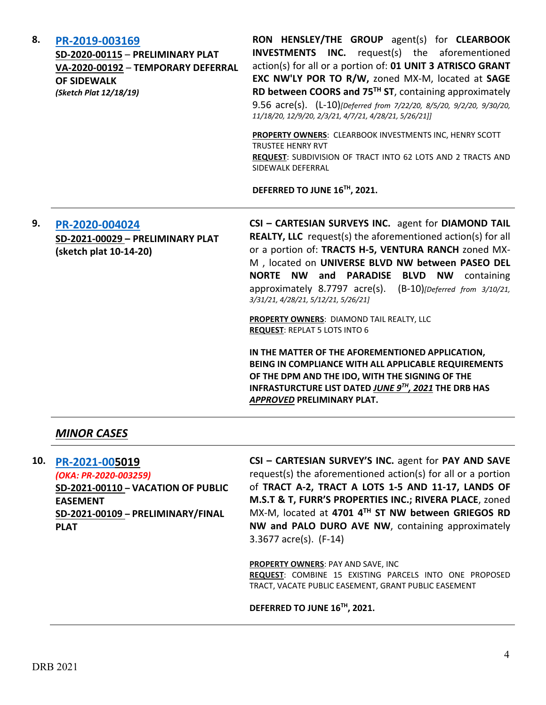| 8. | PR-2019-003169<br>SD-2020-00115 - PRELIMINARY PLAT<br>VA-2020-00192 - TEMPORARY DEFERRAL<br><b>OF SIDEWALK</b><br>(Sketch Plat 12/18/19) | RON HENSLEY/THE GROUP agent(s) for CLEARBOOK<br><b>INC.</b> request(s) the aforementioned<br><b>INVESTMENTS</b><br>action(s) for all or a portion of: 01 UNIT 3 ATRISCO GRANT<br>EXC NW'LY POR TO R/W, zoned MX-M, located at SAGE<br>RD between COORS and 75 <sup>TH</sup> ST, containing approximately<br>9.56 acre(s). (L-10)[Deferred from 7/22/20, 8/5/20, 9/2/20, 9/30/20,<br>11/18/20, 12/9/20, 2/3/21, 4/7/21, 4/28/21, 5/26/21]]                                                                                                                                                                                                                                                                                          |
|----|------------------------------------------------------------------------------------------------------------------------------------------|------------------------------------------------------------------------------------------------------------------------------------------------------------------------------------------------------------------------------------------------------------------------------------------------------------------------------------------------------------------------------------------------------------------------------------------------------------------------------------------------------------------------------------------------------------------------------------------------------------------------------------------------------------------------------------------------------------------------------------|
|    |                                                                                                                                          | PROPERTY OWNERS: CLEARBOOK INVESTMENTS INC, HENRY SCOTT<br><b>TRUSTEF HENRY RVT</b><br>REQUEST: SUBDIVISION OF TRACT INTO 62 LOTS AND 2 TRACTS AND<br>SIDEWALK DEFERRAL                                                                                                                                                                                                                                                                                                                                                                                                                                                                                                                                                            |
|    |                                                                                                                                          | DEFERRED TO JUNE 16TH, 2021.                                                                                                                                                                                                                                                                                                                                                                                                                                                                                                                                                                                                                                                                                                       |
| 9. | PR-2020-004024<br>SD-2021-00029 - PRELIMINARY PLAT<br>(sketch plat 10-14-20)                                                             | CSI - CARTESIAN SURVEYS INC. agent for DIAMOND TAIL<br><b>REALTY, LLC</b> request(s) the aforementioned action(s) for all<br>or a portion of: TRACTS H-5, VENTURA RANCH zoned MX-<br>M , located on UNIVERSE BLVD NW between PASEO DEL<br>NORTE NW and PARADISE BLVD NW containing<br>approximately 8.7797 acre(s). (B-10)[Deferred from 3/10/21,<br>3/31/21, 4/28/21, 5/12/21, 5/26/21]<br>PROPERTY OWNERS: DIAMOND TAIL REALTY, LLC<br><b>REQUEST: REPLAT 5 LOTS INTO 6</b><br>IN THE MATTER OF THE AFOREMENTIONED APPLICATION,<br>BEING IN COMPLIANCE WITH ALL APPLICABLE REQUIREMENTS<br>OF THE DPM AND THE IDO, WITH THE SIGNING OF THE<br>INFRASTURCTURE LIST DATED JUNE 9TH, 2021 THE DRB HAS<br>APPROVED PRELIMINARY PLAT. |

#### *MINOR CASES*

**10. [PR-2021-005](http://data.cabq.gov/government/planning/DRB/PR-2020-003259/DRB%20Submittals/PR-2020-003259_June_9_2021/Application/DRB_app_PR-2021-005019.pdf)019**

*(OKA: PR-2020-003259)* **SD-2021-00110 – VACATION OF PUBLIC EASEMENT SD-2021-00109 – PRELIMINARY/FINAL PLAT**

**CSI – CARTESIAN SURVEY'S INC.** agent for **PAY AND SAVE** request(s) the aforementioned action(s) for all or a portion of **TRACT A-2, TRACT A LOTS 1-5 AND 11-17, LANDS OF M.S.T & T, FURR'S PROPERTIES INC.; RIVERA PLACE**, zoned MX-M, located at **4701 4TH ST NW between GRIEGOS RD NW and PALO DURO AVE NW**, containing approximately 3.3677 acre(s). (F-14)

**PROPERTY OWNERS**: PAY AND SAVE, INC **REQUEST**: COMBINE 15 EXISTING PARCELS INTO ONE PROPOSED TRACT, VACATE PUBLIC EASEMENT, GRANT PUBLIC EASEMENT

**DEFERRED TO JUNE 16TH, 2021.**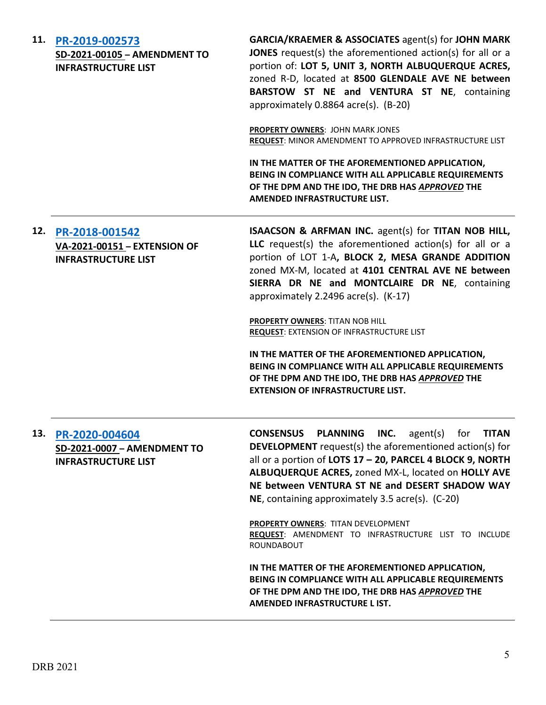| 11. | PR-2019-002573<br>SD-2021-00105 - AMENDMENT TO<br><b>INFRASTRUCTURE LIST</b> | <b>GARCIA/KRAEMER &amp; ASSOCIATES agent(s) for JOHN MARK</b><br>JONES request(s) the aforementioned action(s) for all or a<br>portion of: LOT 5, UNIT 3, NORTH ALBUQUERQUE ACRES,<br>zoned R-D, located at 8500 GLENDALE AVE NE between<br>BARSTOW ST NE and VENTURA ST NE, containing<br>approximately 0.8864 acre(s). (B-20)<br>PROPERTY OWNERS: JOHN MARK JONES<br>REQUEST: MINOR AMENDMENT TO APPROVED INFRASTRUCTURE LIST<br>IN THE MATTER OF THE AFOREMENTIONED APPLICATION,<br>BEING IN COMPLIANCE WITH ALL APPLICABLE REQUIREMENTS<br>OF THE DPM AND THE IDO, THE DRB HAS APPROVED THE<br>AMENDED INFRASTRUCTURE LIST.                                   |
|-----|------------------------------------------------------------------------------|-------------------------------------------------------------------------------------------------------------------------------------------------------------------------------------------------------------------------------------------------------------------------------------------------------------------------------------------------------------------------------------------------------------------------------------------------------------------------------------------------------------------------------------------------------------------------------------------------------------------------------------------------------------------|
| 12. | PR-2018-001542<br>VA-2021-00151 - EXTENSION OF<br><b>INFRASTRUCTURE LIST</b> | ISAACSON & ARFMAN INC. agent(s) for TITAN NOB HILL,<br>LLC request(s) the aforementioned action(s) for all or a<br>portion of LOT 1-A, BLOCK 2, MESA GRANDE ADDITION<br>zoned MX-M, located at 4101 CENTRAL AVE NE between<br>SIERRA DR NE and MONTCLAIRE DR NE, containing<br>approximately 2.2496 acre(s). (K-17)<br>PROPERTY OWNERS: TITAN NOB HILL<br><b>REQUEST: EXTENSION OF INFRASTRUCTURE LIST</b><br>IN THE MATTER OF THE AFOREMENTIONED APPLICATION,<br>BEING IN COMPLIANCE WITH ALL APPLICABLE REQUIREMENTS<br>OF THE DPM AND THE IDO, THE DRB HAS APPROVED THE<br><b>EXTENSION OF INFRASTRUCTURE LIST.</b>                                            |
| 13. | PR-2020-004604<br>SD-2021-0007 - AMENDMENT TO<br><b>INFRASTRUCTURE LIST</b>  | <b>CONSENSUS PLANNING INC.</b> agent(s) for TITAN<br><b>DEVELOPMENT</b> request(s) the aforementioned action(s) for<br>all or a portion of LOTS 17 - 20, PARCEL 4 BLOCK 9, NORTH<br>ALBUQUERQUE ACRES, zoned MX-L, located on HOLLY AVE<br>NE between VENTURA ST NE and DESERT SHADOW WAY<br>NE, containing approximately 3.5 acre(s). (C-20)<br>PROPERTY OWNERS: TITAN DEVELOPMENT<br>REQUEST: AMENDMENT TO INFRASTRUCTURE LIST TO INCLUDE<br><b>ROUNDABOUT</b><br>IN THE MATTER OF THE AFOREMENTIONED APPLICATION,<br>BEING IN COMPLIANCE WITH ALL APPLICABLE REQUIREMENTS<br>OF THE DPM AND THE IDO, THE DRB HAS APPROVED THE<br>AMENDED INFRASTRUCTURE L IST. |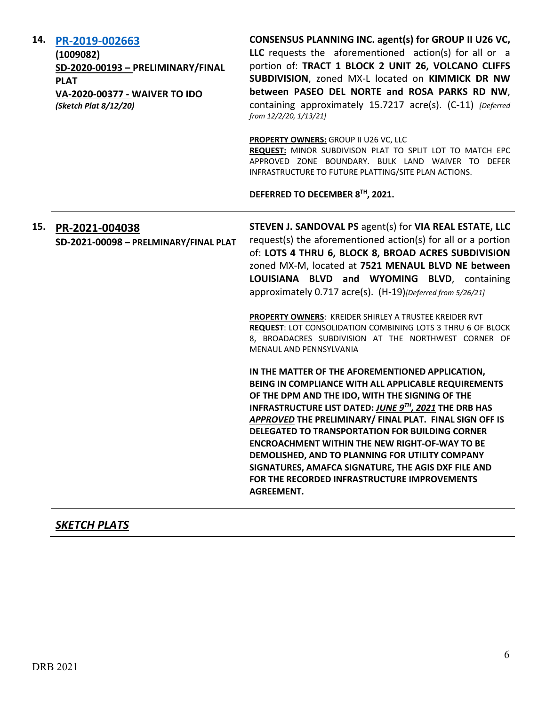| 14. | PR-2019-002663<br>(1009082)<br>SD-2020-00193 - PRELIMINARY/FINAL<br><b>PLAT</b><br>VA-2020-00377 - WAIVER TO IDO<br>(Sketch Plat 8/12/20) | CONSENSUS PLANNING INC. agent(s) for GROUP II U26 VC,<br>LLC requests the aforementioned action(s) for all or a<br>portion of: TRACT 1 BLOCK 2 UNIT 26, VOLCANO CLIFFS<br>SUBDIVISION, zoned MX-L located on KIMMICK DR NW<br>between PASEO DEL NORTE and ROSA PARKS RD NW,<br>containing approximately 15.7217 acre(s). (C-11) [Deferred<br>from 12/2/20, 1/13/21]                                                                                                                                                                                                        |
|-----|-------------------------------------------------------------------------------------------------------------------------------------------|----------------------------------------------------------------------------------------------------------------------------------------------------------------------------------------------------------------------------------------------------------------------------------------------------------------------------------------------------------------------------------------------------------------------------------------------------------------------------------------------------------------------------------------------------------------------------|
|     |                                                                                                                                           | <b>PROPERTY OWNERS: GROUP II U26 VC, LLC</b><br>REQUEST: MINOR SUBDIVISON PLAT TO SPLIT LOT TO MATCH EPC<br>APPROVED ZONE BOUNDARY. BULK LAND WAIVER TO DEFER<br>INFRASTRUCTURE TO FUTURE PLATTING/SITE PLAN ACTIONS.                                                                                                                                                                                                                                                                                                                                                      |
|     |                                                                                                                                           | DEFERRED TO DECEMBER 8TH, 2021.                                                                                                                                                                                                                                                                                                                                                                                                                                                                                                                                            |
| 15. | PR-2021-004038<br>SD-2021-00098 - PRELMINARY/FINAL PLAT                                                                                   | STEVEN J. SANDOVAL PS agent(s) for VIA REAL ESTATE, LLC<br>request(s) the aforementioned action(s) for all or a portion<br>of: LOTS 4 THRU 6, BLOCK 8, BROAD ACRES SUBDIVISION<br>zoned MX-M, located at 7521 MENAUL BLVD NE between<br>LOUISIANA BLVD and WYOMING BLVD, containing<br>approximately 0.717 acre(s). (H-19)[Deferred from 5/26/21]                                                                                                                                                                                                                          |
|     |                                                                                                                                           | PROPERTY OWNERS: KREIDER SHIRLEY A TRUSTEE KREIDER RVT<br>REQUEST: LOT CONSOLIDATION COMBINING LOTS 3 THRU 6 OF BLOCK<br>8, BROADACRES SUBDIVISION AT THE NORTHWEST CORNER OF<br>MENAUL AND PENNSYLVANIA                                                                                                                                                                                                                                                                                                                                                                   |
|     |                                                                                                                                           | IN THE MATTER OF THE AFOREMENTIONED APPLICATION,<br>BEING IN COMPLIANCE WITH ALL APPLICABLE REQUIREMENTS<br>OF THE DPM AND THE IDO, WITH THE SIGNING OF THE<br>INFRASTRUCTURE LIST DATED: JUNE 9TH, 2021 THE DRB HAS<br>APPROVED THE PRELIMINARY/ FINAL PLAT. FINAL SIGN OFF IS<br><b>DELEGATED TO TRANSPORTATION FOR BUILDING CORNER</b><br><b>ENCROACHMENT WITHIN THE NEW RIGHT-OF-WAY TO BE</b><br>DEMOLISHED, AND TO PLANNING FOR UTILITY COMPANY<br>SIGNATURES, AMAFCA SIGNATURE, THE AGIS DXF FILE AND<br>FOR THE RECORDED INFRASTRUCTURE IMPROVEMENTS<br>AGREEMENT. |

# *SKETCH PLATS*